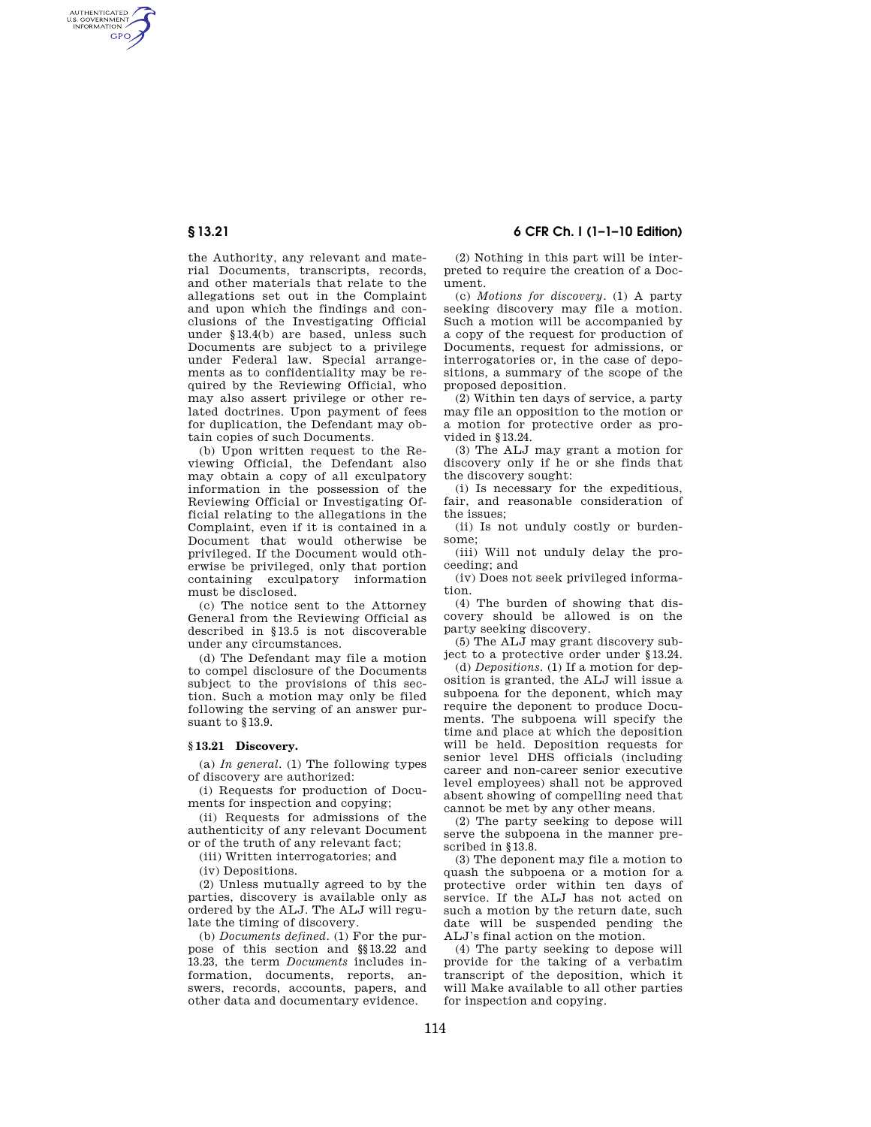AUTHENTICATED<br>U.S. GOVERNMENT<br>INFORMATION **GPO** 

> the Authority, any relevant and material Documents, transcripts, records, and other materials that relate to the allegations set out in the Complaint and upon which the findings and conclusions of the Investigating Official under §13.4(b) are based, unless such Documents are subject to a privilege under Federal law. Special arrangements as to confidentiality may be required by the Reviewing Official, who may also assert privilege or other related doctrines. Upon payment of fees for duplication, the Defendant may obtain copies of such Documents.

> (b) Upon written request to the Reviewing Official, the Defendant also may obtain a copy of all exculpatory information in the possession of the Reviewing Official or Investigating Official relating to the allegations in the Complaint, even if it is contained in a Document that would otherwise be privileged. If the Document would otherwise be privileged, only that portion containing exculpatory information must be disclosed.

> (c) The notice sent to the Attorney General from the Reviewing Official as described in §13.5 is not discoverable under any circumstances.

> (d) The Defendant may file a motion to compel disclosure of the Documents subject to the provisions of this section. Such a motion may only be filed following the serving of an answer pursuant to §13.9.

### **§ 13.21 Discovery.**

(a) *In general*. (1) The following types of discovery are authorized:

(i) Requests for production of Documents for inspection and copying;

(ii) Requests for admissions of the authenticity of any relevant Document or of the truth of any relevant fact;

(iii) Written interrogatories; and

(iv) Depositions.

(2) Unless mutually agreed to by the parties, discovery is available only as ordered by the ALJ. The ALJ will regulate the timing of discovery.

(b) *Documents defined*. (1) For the purpose of this section and §§13.22 and 13.23, the term *Documents* includes information, documents, reports, answers, records, accounts, papers, and other data and documentary evidence.

**§ 13.21 6 CFR Ch. I (1–1–10 Edition)** 

(2) Nothing in this part will be interpreted to require the creation of a Document.

(c) *Motions for discovery*. (1) A party seeking discovery may file a motion. Such a motion will be accompanied by a copy of the request for production of Documents, request for admissions, or interrogatories or, in the case of depositions, a summary of the scope of the proposed deposition.

(2) Within ten days of service, a party may file an opposition to the motion or a motion for protective order as provided in §13.24.

(3) The ALJ may grant a motion for discovery only if he or she finds that the discovery sought:

(i) Is necessary for the expeditious, fair, and reasonable consideration of the issues;

(ii) Is not unduly costly or burdensome;

(iii) Will not unduly delay the proceeding; and

(iv) Does not seek privileged information.

(4) The burden of showing that discovery should be allowed is on the party seeking discovery.

(5) The ALJ may grant discovery subject to a protective order under §13.24.

(d) *Depositions.* (1) If a motion for deposition is granted, the ALJ will issue a subpoena for the deponent, which may require the deponent to produce Documents. The subpoena will specify the time and place at which the deposition will be held. Deposition requests for senior level DHS officials (including career and non-career senior executive level employees) shall not be approved absent showing of compelling need that cannot be met by any other means.

(2) The party seeking to depose will serve the subpoena in the manner prescribed in §13.8.

(3) The deponent may file a motion to quash the subpoena or a motion for a protective order within ten days of service. If the ALJ has not acted on such a motion by the return date, such date will be suspended pending the ALJ's final action on the motion.

(4) The party seeking to depose will provide for the taking of a verbatim transcript of the deposition, which it will Make available to all other parties for inspection and copying.